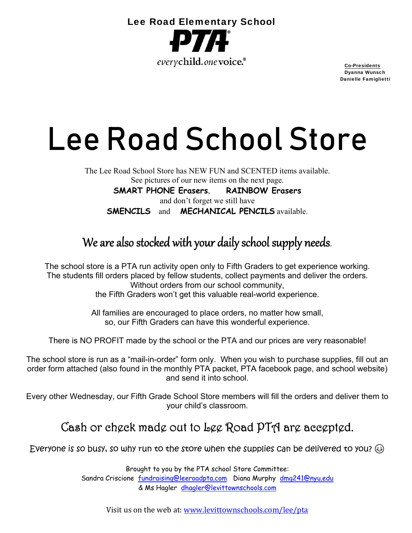

 Dyanna Wunsch Danielle Famiglietti

# Lee Road School Store

The Lee Road School Store has NEW FUN and SCENTED items available. See pictures of our new items on the next page.

**SMART PHONE Erasers**, **RAINBOW Erasers** and don't forget we still have **SMENCILS** and **MECHANICAL PENCILS** available.

### We are also stocked with your daily school supply needs.

The school store is a PTA run activity open only to Fifth Graders to get experience working. The students fill orders placed by fellow students, collect payments and deliver the orders. Without orders from our school community,

the Fifth Graders won't get this valuable real-world experience.

All families are encouraged to place orders, no matter how small, so, our Fifth Graders can have this wonderful experience.

There is NO PROFIT made by the school or the PTA and our prices are very reasonable!

The school store is run as a "mail-in-order" form only. When you wish to purchase supplies, fill out an order form attached (also found in the monthly PTA packet, PTA facebook page, and school website) and send it into school.

Every other Wednesday, our Fifth Grade School Store members will fill the orders and deliver them to your child's classroom.

#### Cash or check made out to Lee Road PTA are accepted.

Everyone is so busy, so why run to the store when the supplies can be delivered to you?  $\odot$ 

Brought to you by the PTA school Store Committee: Sandra Criscione fundraising@leeroadpta.com Diana Murphy dmg241@nyu.edu & Ms Hagler dhagler@levittownschools.com

Visit us on the web at: www.levittownschools.com/lee/pta